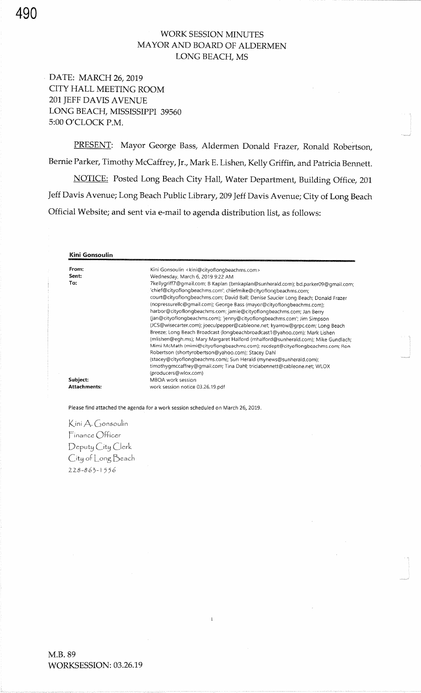' DATE: MARCH 26,2019 CITY HALL MEETING ROOM201 JEFF DAVIS AVENUELONG BEACH, MISSISSIPPI 39560 5:00 O'CLOCK P.M.

PRESENT: Mayor George Bass, Aldermen Donald Frazer, Ronald Robertson, Bernie Parker, Timothy McCaffrey, Jr., Mark E. Lishen, Kelly Griffin, and Patricia Bennett. NOTICE: Posted Long Beach City Hall, Water Department, Building Office, 201 Jeff Davis Avenue; Long Beach Public Library, 209 Jeff Davis Avenue; City of Long Beach Official Website; and sent via e-mail to agenda distribution list, as follows

| From:               | Kini Gonsoulin <kini@cityoflongbeachms.com></kini@cityoflongbeachms.com>                                                                                   |
|---------------------|------------------------------------------------------------------------------------------------------------------------------------------------------------|
| Sent:               | Wednesday, March 6, 2019 9:22 AM                                                                                                                           |
| To:                 | 7kellygriff7@gmail.com; B Kaplan (bmkaplan@sunherald.com); bd.parker09@gmail.com;<br>'chief@cityoflongbeachms.com'; chiefmike@cityoflongbeachms.com;       |
|                     | court@cityoflongbeachms.com; David Ball; Denise Saucier Long Beach; Donald Frazer<br>(nopressurellc@gmail.com); George Bass (mayor@cityoflongbeachms.com); |
|                     | harbor@cityoflongbeachms.com; jamie@cityoflongbeachms.com; Jan Berry                                                                                       |
|                     | (jan@cityoflongbeachms.com); 'jenny@cityoflongbeachms.com'; Jim Simpson                                                                                    |
|                     | (JCS@wisecarter.com); joeculpepper@cableone.net; kyarrow@grpc.com; Long Beach                                                                              |
|                     | Breeze; Long Beach Broadcast (longbeachbroadcast1@yahoo.com); Mark Lishen                                                                                  |
|                     | (mlishen@egh.ms); Mary Margaret Halford (mhalford@sunherald.com); Mike Gundlach;                                                                           |
|                     | Mimi McMath (mimi@cityoflongbeachms.com); recdept@cityoflongbeachms.com; Ron                                                                               |
|                     | Robertson (shortyrobertson@yahoo.com); Stacey Dahl                                                                                                         |
|                     | (stacey@cityoflongbeachms.com); Sun Herald (mynews@sunherald.com);                                                                                         |
|                     | timothygmccaffrey@gmail.com; Tina Dahl; triciabennett@cableone.net; WLOX                                                                                   |
|                     | (producers@wlox.com)                                                                                                                                       |
| Subject:            | MBOA work session                                                                                                                                          |
| <b>Attachments:</b> | work session notice 03.26.19 pdf                                                                                                                           |

 $\mathbf{1}$ 

Please find attached the agenda for a work session scheduled on March 26, 2019.

Kini A. Gonsoulin  $Finance$   $Officer$ Deputy City Clerk  $\bigcirc$ ity of  $\bigcup$ ong  $\bigcirc$ each 228-863-1556

)<br>La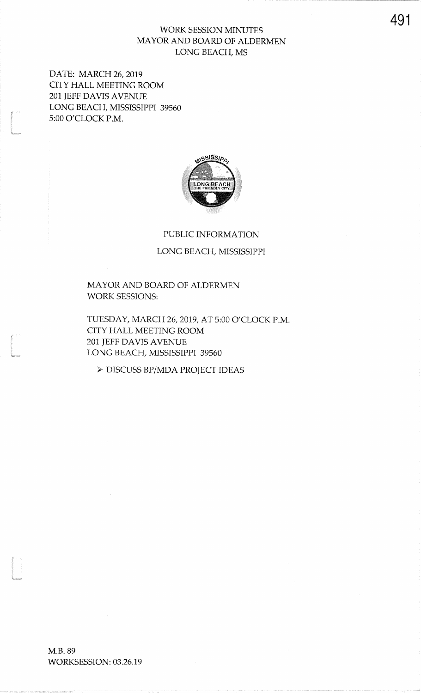DATE: MARCH 26,2019 CITY HALL MEETING ROOM2Ol IEFF DAVIS AVENUELONG BEACH, MISSISSIPPI 39560 5:00 O'CLOCK P.M.



#### PUBLIC INFORMATION

LONG BEACH, MISSISSIPPI

MAYOR AND BOARD OF ALDERMENWORK SESSIONS:

TUESDAY, MARCH 26, 2019, AT 5:00 O'CLOCK P.M. CITY HALLMEETING ROOM201 JEFF DAVIS AVENUE LONG BEACH, MISSISSPPI 39560

 $\triangleright$  DISCUSS BP/MDA PROJECT IDEAS

M.8.89WORKSESSION: 03.26.19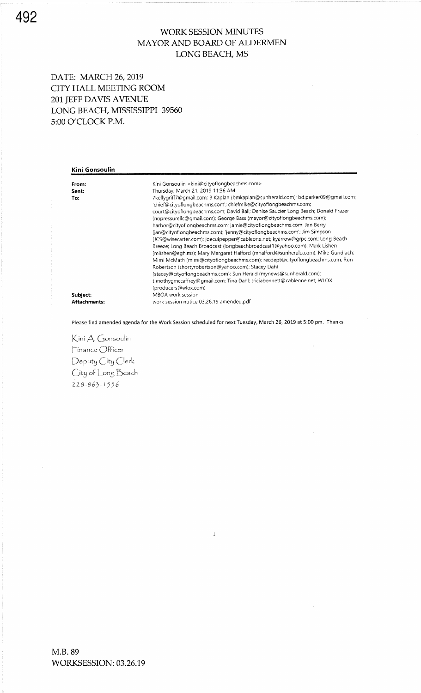DATE: MARCH 26, 2019 CITY HALL MEETING ROOM 2Ol IEFF DAVIS AVENUE LONG BEACH, MISSISSIPPI 39560 5:00 O'CLOCK P.M.

| Kini Gonsoulin      |                                                                                                                                                                                                                                                                                                                                                                                                                                                                                                                                                                                                                                                                                                                                                                                                                                                                                                                                                                                                                 |
|---------------------|-----------------------------------------------------------------------------------------------------------------------------------------------------------------------------------------------------------------------------------------------------------------------------------------------------------------------------------------------------------------------------------------------------------------------------------------------------------------------------------------------------------------------------------------------------------------------------------------------------------------------------------------------------------------------------------------------------------------------------------------------------------------------------------------------------------------------------------------------------------------------------------------------------------------------------------------------------------------------------------------------------------------|
| From:               | Kini Gonsoulin <kini@cityoflongbeachms.com></kini@cityoflongbeachms.com>                                                                                                                                                                                                                                                                                                                                                                                                                                                                                                                                                                                                                                                                                                                                                                                                                                                                                                                                        |
| Sent:               | Thursday, March 21, 2019 11:36 AM                                                                                                                                                                                                                                                                                                                                                                                                                                                                                                                                                                                                                                                                                                                                                                                                                                                                                                                                                                               |
| To:                 | 7kellygriff7@gmail.com; B Kaplan (bmkaplan@sunherald.com); bd.parker09@gmail.com;<br>'chief@cityoflongbeachms.com'; chiefmike@cityoflongbeachms.com;<br>court@cityoflongbeachms.com; David Ball; Denise Saucier Long Beach; Donald Frazer<br>(nopressurellc@gmail.com); George Bass (mayor@cityoflongbeachms.com);<br>harbor@cityoflongbeachms.com; jamie@cityoflongbeachms.com; Jan Berry<br>(jan@cityoflongbeachms.com); 'jenny@cityoflongbeachms.com'; Jim Simpson<br>(JCS@wisecarter.com); joeculpepper@cableone.net; kyarrow@grpc.com; Long Beach<br>Breeze; Long Beach Broadcast (longbeachbroadcast1@yahoo.com); Mark Lishen<br>(mlishen@egh.ms); Mary Margaret Halford (mhalford@sunherald.com); Mike Gundlach;<br>Mimi McMath (mimi@cityoflongbeachms.com); recdept@cityoflongbeachms.com; Ron<br>Robertson (shortyrobertson@yahoo.com); Stacey Dahl<br>(stacey@cityoflongbeachms.com); Sun Herald (mynews@sunherald.com);<br>timothygmccaffrey@gmail.com; Tina Dahl; triciabennett@cableone.net; WLOX |
|                     | (producers@wlox.com)                                                                                                                                                                                                                                                                                                                                                                                                                                                                                                                                                                                                                                                                                                                                                                                                                                                                                                                                                                                            |
| Subject:            | MBOA work session                                                                                                                                                                                                                                                                                                                                                                                                                                                                                                                                                                                                                                                                                                                                                                                                                                                                                                                                                                                               |
| <b>Attachments:</b> | work session notice 03.26.19 amended.pdf                                                                                                                                                                                                                                                                                                                                                                                                                                                                                                                                                                                                                                                                                                                                                                                                                                                                                                                                                                        |

Please find amended agenda for the Work Session scheduled for next Tuesday, March 26,2079 at 5:00 pm. Thanks.

 $\mathbf 1$ 

 $\hat{\mathcal{A}}$ 

Kini A. Gonsoulin  $Finance$  Officer Deputy City Clerk City of Long Beach<br>228-863-1556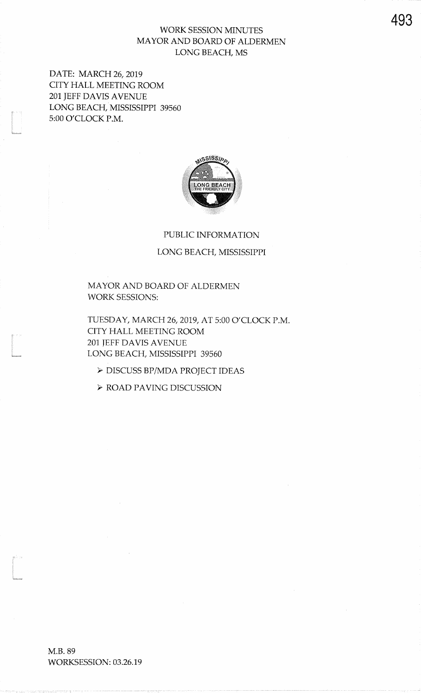DATE: MARCH 26, 2019 CITY HALL MEETING ROOM2Ol IEFF DAVIS AVENUELONG BEACH, MISSISSIPPI 39560 5:00 O'CLOCK P.M.



# PUBLIC INFORMATION

LONG BEACH, MISSISSIPPI

MAYOR AND BOARD OF ALDERMENWORK SESSIONS:

TUESDAY, MARCH 26, 2019, AT 5:00 O'CLOCK P.M. CITY HALL MEETING ROOM201 JEFF DAVIS AVENUE LONG BEACH, MISSISSIPPI 39560

- $\triangleright$  DISCUSS BP/MDA PROJECT IDEAS
- > ROAD PAVING DISCUSSION

M.B. 89 WORKSESSION: 03.26.19